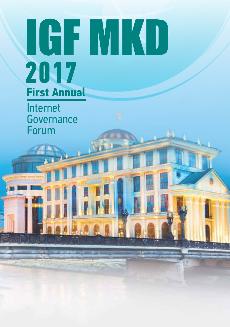# IGF MKD **2017 First Annual**

Internet **Governance** Forum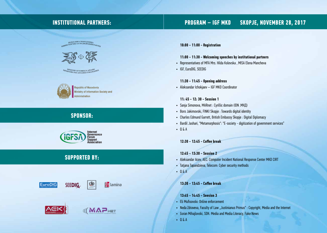## **INSTITUTIONAL PARTNERS:**

#### SKOPJE, NOVEMBER 28, 2017 **PROGRAM - IGF MKD**

PERYSTHKA MAKEROHHJA<br>SMINICTEPCTBO SA HA/RBOPERINH PAEOTH



MINISTRY OF FOREIGN AFFAIRS



Republic of Macedonia Ministry of Information Society and Administration

# **SPONSOR:**



# **SUPPORTED BY:**





**图**lamina





10:00 - 11:00 - Registration

#### 11:00 - 11:30 - Welcoming speeches by institutional partners

- Representatives of MFA Mrs. Hilda Kolevska, MISA Elena Mancheva
- IGF, EuroDIG, SEEDIG

#### 11:30 - 11:45 - Opening address

• Aleksandar Ichokjaev - IGF MKD Coordinator

#### $11: 45 - 12: 30 - Session 1$

- Sanja Simonova, MARnet : Cyrillic domain (IDN .MKII)
- · Boro Jakimovski, FINKI Skopje: Towards digital identity
- Charles Edmund Garrett, British Embassy Skopje: Digital Diplomacy
- Bardil Jashari, "Metamorphosis": "E-society digitization of government services"
- $-0&A$

12:30 - 12:45 - Coffee break

#### $12:45 - 13:30 - Session 2$

- Aleksandar Acev, AEC: Computer Incident National Response Center MKD CIRT
- Tatjana Tapandzieva, Telecom: Cyber security methods
- $-0.6A$

#### 13:30 - 13:45 - Coffee break

#### $13:45 - 14:45 -$  Seesion 3

- Eli Mufisovski: Online enforcement
- Neda Zdraveva, Faculty of Law "Justinianus Primus" : Copyright, Media and the Internet
- Goran Mihajlovski, SDK: Media and Media Literacy, Fake News
- $-Q&A$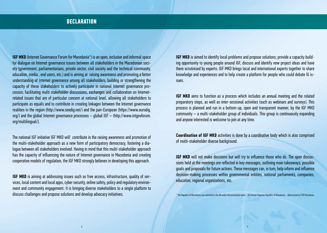# **DECLARATION**

**IGF MKD** (Internet Governance Forum for Macedonia<sup>\*</sup>) is an open, inclusive and informal space for dialogue on Internet governance issues between all stakeholders in the Macedonian society (government, parliamentarians, private sector, civil society and the technical community, education, media, end users, etc.) and is aiming at raising awareness and promoting a better understanding of Internet governance among all stakeholders; building or strengthening the capacity of these stakeholders to actively participate in national Internet governance processes; facilitating multi stakeholder discussions, exchanges and collaboration on Internetrelated issues that are of particular concern at national level, allowing all stakeholders to participate as equals and to contribute in creating linkages between the Internet governance realities in the region (http://www.seedig.net/) and the pan-European (https://www.eurodig. org/) and the global Internet governance processes  $-$  global IGF  $-$  (http://www.intgovforum. org/multilingual/).

The national IGF initiative IGF MKD will contribute in the raising awareness and promotion of the multi-stakeholder approach as a new form of participatory democracy, fostering a dialogue between all stakeholders involved. Having in mind that this multi-stakeholder approach has the capacity of influencing the nature of Internet governance in Macedonia and creating cooperative models of regulation, the IGF MKD strongly believes in developing this approach.

**IGF MKD** is aiming at addressing issues such as free access, infrastructure, quality of services, local content and local apps, cyber security, online safety, policy and regulatory environment and community engagement. It is bringing diverse stakeholders to a single platform to discuss challenges and propose solutions and develop advocacy initiatives.

**IGF MKD** is aimed to identify local problems and propose solutions; provide a capacity building opportunity to young people around IGF, discuss and identify new project ideas and have them scrutinized by experts. IGF MKD brings local and international experts together to share knowledge and experiences and to help create a platform for people who could debate IG issues.

**IGF MKD** aims to function as a process which includes an annual meeting and the related preparatory steps, as well as inter-sessional activities (such as webinars and surveys). This process is planned and run in a bottom-up, open and transparent manner, by the IGF MKD community  $-$  a multi-stakeholder group of individuals. This group is continuously expanding and anyone interested is welcome to join at any time.

**Coordination of IGF MKD** activities is done by a coordinative body which is also comprised of multi-stakeholder diverse background.

**IGF MKD** will not make decisions but will try to influence those who do. The open discussions held at the meetings are reflected in key messages, outlining main takeaways, possible goals and proposals for future actions. These messages can, in turn, help inform and influence decision-making processes within governmental entities, national parliaments, companies, education, regional organizations, etc.

\* The Republic of Macedonia was admitted in the UN under the provisional name - the former Yugoslav Republic of Macedonia - abbreviated as FYR Macedonia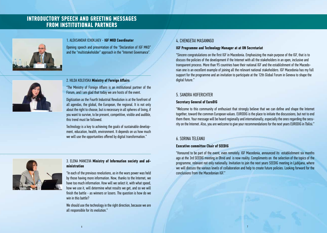# **INTRODUCTORY SPEECH AND GREETING MESSAGES FROM INSTITUTIONAL PARTNERS**



#### 1. ALEKSANDAR ICHOKJAEV - IGF MKD Coordinator

Opening speech and presentation of the "Declaration of IGF MKD" and the "multistakeholder" approach in the "Internet Governance".



#### 2. HILDA KOLEVSKA Ministry of Foreign Affairs

"The Ministry of Foreign Affairs is an institutional partner of the Forum, and I am glad that today we are hosts of the event.

Digitization as the Fourth Industrial Revolution is at the forefront of all agendas, the global, the European, the regional. It is not only about the right to choose, but is necessary in all spheres of living, if you want to survive, to be present, competitive, visible and audible, this trend must he followed

Technology is a key to achieving the goals of sustainable development, education, health, environment. It depends on us how much we will use the opportunities offered by digital transformation."



#### 3. ELENA MANCEVA Ministry of Information society and administration

"In each of the previous revolutions, as in the wars power was held by those having more information. Now, thanks to the Internet, we have too much information. How will we select it, with what speed, how we use it, will determine what results we get, and so we will finish the battle - as winners or losers. The question is how do we win in this hattle?

We should use the technology in the right direction, because we are all responsible for its evolution."

#### 4. CHENGETAI MASANNGO

#### IGF Programme and Technology Manager at at UN Secretariat

"Sincere congratulations on the first IGF in Macedonia. Emphasizing the main purpose of the IGF, that is to discuss the policies of the development if the Internet with all the stakeholders in an open, inclusive and transparent process. More than 95 countries have their national IGF and the establishment of the Macedonian one is an excellent example of joining all the relevant national stakeholders. IGF Macedonia has my full support for the programme and an invitation to participate at the 12th Global Forum in Geneva to shape the digital future."

#### 5 SANDRA HOFFRICHTFR

#### **Secretary General of EuroDIG**

"Welcome to this community of enthusiast that strongly believe that we can define and shape the Internet together, toward the common European values. EURODIG is the place to initiate the discussions, but not to end them there. Your message will be heard regionally and internationally, especially the ones regarding the security on the Internet. Also, you are welcome to give your recommendations for the next years EURODIG in Tbilisi."

#### **6. SORINA TELEANU**

#### **Executive committee Chair of SEEDIG**

"Honoured to be part of the event, even remotely. IGF Macedonia, announced its establishment six months ago at the 3rd SEEDIG meeting in Ohrid and is now reality. Compliments on the selection of the topics of the programme, relevant not only nationally. Invitation to join the next years SEEDIG meeting in Ljubljana, where we will discuss the various levels of collaboration and help to create future policies. Looking forward for the conclusions from the Macedonian IGF"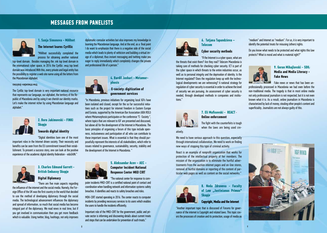### **MESSAGES FROM PANELISTS**



#### 1. Sanja Simonova - MARnet The Internet learns Cyrillic

"MARnet successfully completed the process for obtaining another national

top-level domain. Besides managing the .mk top level domain in the international cyber space, in 2014 the Cyrillic .мкд top level domain was introduced With this, every private and legal entity has the possibility to register a web site name using all the letters from the Macedonian alphabet

#### пишувај-кирилица.мкд

The Cyrillic top-level domain is very important national resource that represents our language, our alphabet, the territory of the Republic of Macedonia and by using it we cherish our identity marks. Let's make the internet richer by using Macedonian language and alphabet."



#### 2. Boro Jakimovski - FINKI **Skopje**

**Towards digital identity** 

"Digital identities bare one of the most important roles in the Internet driven society. Their necessity and benefits can be seen from the EU commitment toward their establishment. To present a success story, one can look at the positive experience of the academic digital identity federation - eduGAIN."



#### 3. Charles Edmund Garrett -**British Embassy Skopie**

#### **Digital Diplomacy**

"There are five main aspects regarding the influence of the internet and the social media. Namely, the Foreign Office of the UK was the first country in the world that decided to use the method of developing diplomacy through the social media. The technological advancement influences the diplomacy and spread of information, so much that social media has become integral part of the diplomacy. We read news in real time, but if you get involved in communication then you get more feedback which is valuable. Using twitter, blog, hashtags, not only improves diplomatic-consular activities but also improves my knowledge in learning the Macedonian language. And at the end, as a final point I do want to emphasize that there is a negative side of the social media which leads to plenty of witticism and building a virtual image of a diplomat: thus instant messaging and twitting make you eager to reply immediately which completely changes the private and professional life of a person."



4. Bardil Jashari - Metamor**phosis** 

#### **E-society: digitization of** aovernment services

"In Macedonia, previous initiatives for organizing local IGFs have been isolated and closed, except for the so far successful initiatives such as the project for internet freedom in Eastern Europe and Eurasia, supported by the American Bar Association (ABA ROLI) where Metamorphosis participates or the conference "E-Society", where topics that are relevant to IGF are presented and discussed. but above all for the development of the Internet in Macedonia. The basic principles of organizing a forum of this type include openness, inclusiveness and participation of all who can contribute to these important issues. What is essential is that they should purposefully represent the interests of all stakeholders, which refer to issues related to governance, sustainability, security, stability and the development of the Internet in Macedonia. "





"The national center for response to computer incidents MKD-CIRT is a certified national point of contact and coordination when handling network and information systems safety breaches. It identifies and reacts to safety breaches and risks.

MDK-CIRT started operating in 2016. The center reacts to computer incidents by providing necessary services to its users which enables the users to handle the incidents efficiently.

Important role of the MKD-CIRT for the government, public and private sector is informing and discovering details about current treats and steps that can be undertaken for prevention of such treats."



#### 6. Tatjana Tapandzieva – **Telecom**

#### **Cyber security methods**

"If the Internet is a cyber space, what are the threats that exist there? Are they real? Telecom Macedonia is taking care of methods for checking cyber security. ICT is part of the cyber space in which threats to the entire industries occur, as well as to personal integrity and the deprivation of identity. Is the Internet regulated? Does the regulation keep up with the technological developments we are witnessing? A national strategy for regulation of cyber security is essential in order to achieve the level of security we are pursuing. An assessment of cyber security is needed, through developed methods in companies and institutions"



#### 7. Eli Mufisovski - REACT -**Online enforcement**

The fight with the counterfeits is tough when the laws are being used cre-

We need to have serious approach to this question, especially through international collaboration. We need to work on finding new ways of stopping this type of criminal activity.

React is an example of nonprofit organization that works for protection of the intellectual property of her members. The mission of the organization is to eliminate the hurtful advertisements from the auction internet pages and on-line stores. removal of hurtful domains or reporting of the content of particular web pages as well as content on the social networks."



8. Neda Zdraveva - Faculty of Law "Justinianus Primus" **Skopje** 

**Convright. Media and the Internet** 

"Another important topic that is discussed of Forums for governance of the internet is Copyright and related laws. This topic covers the processes of creation and its protection, usage of media as "medium" and Internet as "medium". For us, it is very important to identify the potential treats for misusing (others) rights.

Do you know what needs to be protected and what rights this law protects? What is moral and what is material right?"



9. Goran Mihailovski - SDK: **Media and Media Literacy -Fake News** 

Fake news or news that has been unprofessionally processed in Macedonia we had even before the non-traditional media. The tragedy is that in most online media not only professional journalism is not respected, but it is not even known what it is. As a result, online journalism in Macedonia is characterized by lack of money, stealing other people's content and superficiality. Journalists are not always quilty of this.

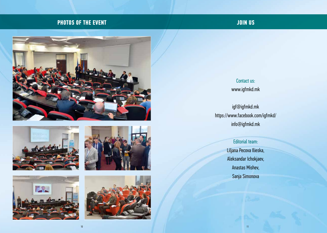# **PHOTOS OF THE EVENT**

# **JOIN US**











**Contact us:** www.igfmkd.mk

igf@igfmkd.mk https://www.facebook.com/igfmkd/ info@igfmkd.mk

> Editorial team: Liljana Pecova Ilieska, Aleksandar Ichokjaev, **Anastas Mishev,** Sanja Simonova

> > $11$